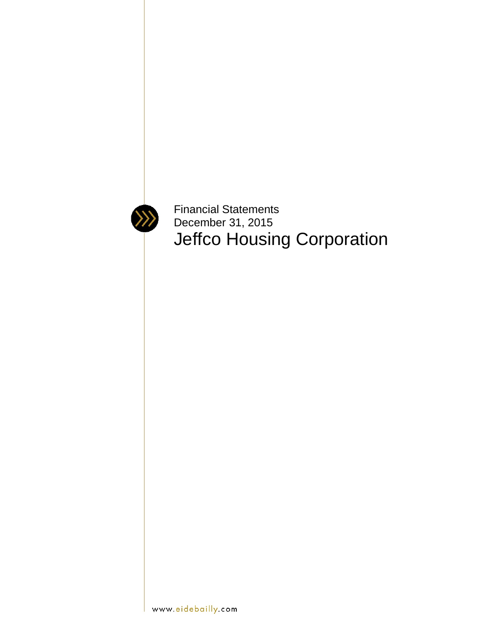

Financial Statements December 31, 2015 Jeffco Housing Corporation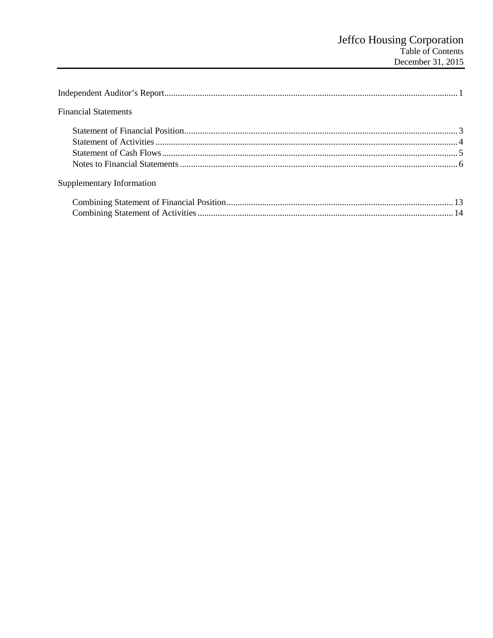| <b>Financial Statements</b> |  |
|-----------------------------|--|
|                             |  |
|                             |  |
|                             |  |
|                             |  |
| Supplementary Information   |  |
|                             |  |
|                             |  |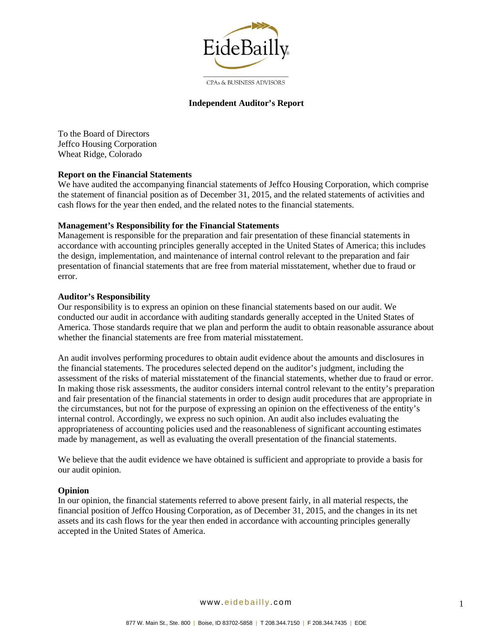

**CPAs & BUSINESS ADVISORS** 

#### **Independent Auditor's Report**

To the Board of Directors Jeffco Housing Corporation Wheat Ridge, Colorado

#### **Report on the Financial Statements**

We have audited the accompanying financial statements of Jeffco Housing Corporation, which comprise the statement of financial position as of December 31, 2015, and the related statements of activities and cash flows for the year then ended, and the related notes to the financial statements.

#### **Management's Responsibility for the Financial Statements**

Management is responsible for the preparation and fair presentation of these financial statements in accordance with accounting principles generally accepted in the United States of America; this includes the design, implementation, and maintenance of internal control relevant to the preparation and fair presentation of financial statements that are free from material misstatement, whether due to fraud or error.

#### **Auditor's Responsibility**

Our responsibility is to express an opinion on these financial statements based on our audit. We conducted our audit in accordance with auditing standards generally accepted in the United States of America. Those standards require that we plan and perform the audit to obtain reasonable assurance about whether the financial statements are free from material misstatement.

An audit involves performing procedures to obtain audit evidence about the amounts and disclosures in the financial statements. The procedures selected depend on the auditor's judgment, including the assessment of the risks of material misstatement of the financial statements, whether due to fraud or error. In making those risk assessments, the auditor considers internal control relevant to the entity's preparation and fair presentation of the financial statements in order to design audit procedures that are appropriate in the circumstances, but not for the purpose of expressing an opinion on the effectiveness of the entity's internal control. Accordingly, we express no such opinion. An audit also includes evaluating the appropriateness of accounting policies used and the reasonableness of significant accounting estimates made by management, as well as evaluating the overall presentation of the financial statements.

We believe that the audit evidence we have obtained is sufficient and appropriate to provide a basis for our audit opinion.

#### **Opinion**

In our opinion, the financial statements referred to above present fairly, in all material respects, the financial position of Jeffco Housing Corporation, as of December 31, 2015, and the changes in its net assets and its cash flows for the year then ended in accordance with accounting principles generally accepted in the United States of America.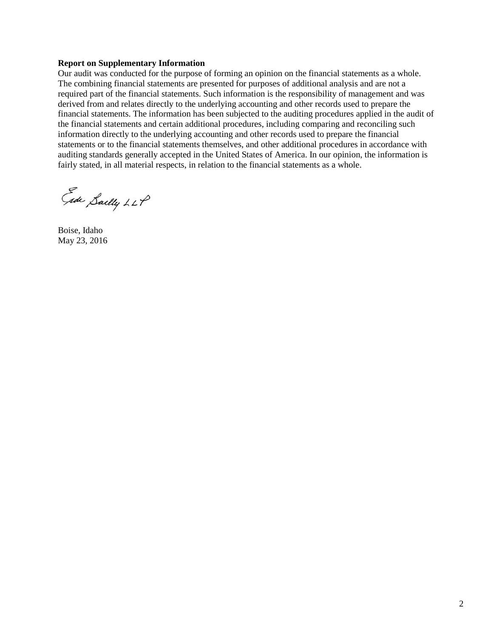#### **Report on Supplementary Information**

Our audit was conducted for the purpose of forming an opinion on the financial statements as a whole. The combining financial statements are presented for purposes of additional analysis and are not a required part of the financial statements. Such information is the responsibility of management and was derived from and relates directly to the underlying accounting and other records used to prepare the financial statements. The information has been subjected to the auditing procedures applied in the audit of the financial statements and certain additional procedures, including comparing and reconciling such information directly to the underlying accounting and other records used to prepare the financial statements or to the financial statements themselves, and other additional procedures in accordance with auditing standards generally accepted in the United States of America. In our opinion, the information is fairly stated, in all material respects, in relation to the financial statements as a whole.

Ede Sailly LLP

Boise, Idaho May 23, 2016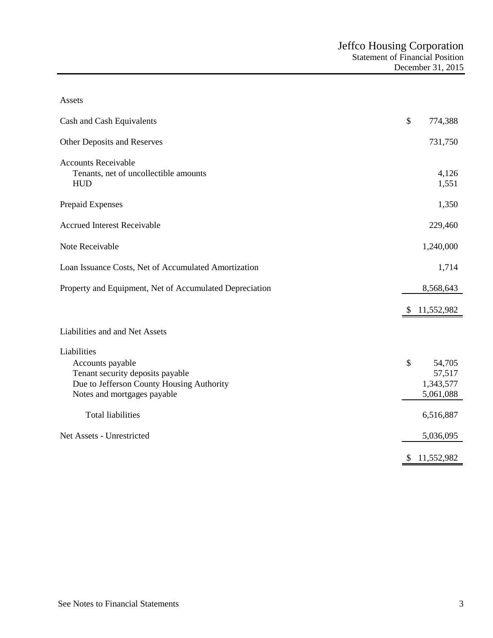| Assets                                                                                                                                          |               |                                            |
|-------------------------------------------------------------------------------------------------------------------------------------------------|---------------|--------------------------------------------|
| Cash and Cash Equivalents                                                                                                                       | $\mathcal{S}$ | 774,388                                    |
| Other Deposits and Reserves                                                                                                                     |               | 731,750                                    |
| <b>Accounts Receivable</b><br>Tenants, net of uncollectible amounts<br><b>HUD</b>                                                               |               | 4,126<br>1,551                             |
| Prepaid Expenses                                                                                                                                |               | 1,350                                      |
| <b>Accrued Interest Receivable</b>                                                                                                              |               | 229,460                                    |
| Note Receivable                                                                                                                                 |               | 1,240,000                                  |
| Loan Issuance Costs, Net of Accumulated Amortization                                                                                            |               | 1,714                                      |
| Property and Equipment, Net of Accumulated Depreciation                                                                                         |               | 8,568,643                                  |
|                                                                                                                                                 | \$            | 11,552,982                                 |
| Liabilities and and Net Assets                                                                                                                  |               |                                            |
| Liabilities<br>Accounts payable<br>Tenant security deposits payable<br>Due to Jefferson County Housing Authority<br>Notes and mortgages payable | \$            | 54,705<br>57,517<br>1,343,577<br>5,061,088 |
| <b>Total liabilities</b>                                                                                                                        |               | 6,516,887                                  |
| Net Assets - Unrestricted                                                                                                                       |               | 5,036,095                                  |
|                                                                                                                                                 | \$            | 11,552,982                                 |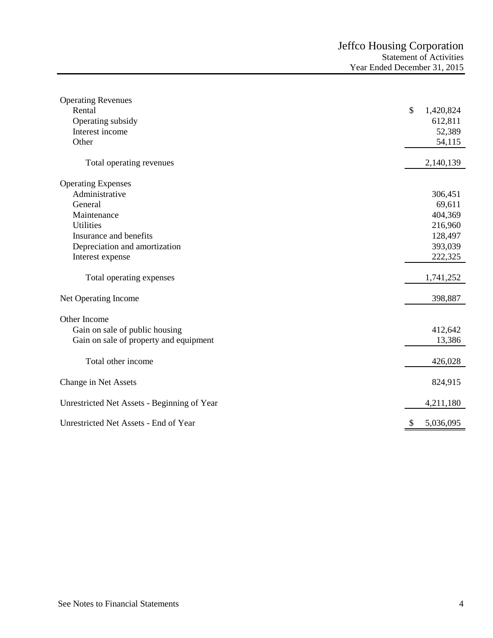| <b>Operating Revenues</b>                   |               |           |
|---------------------------------------------|---------------|-----------|
| Rental                                      | $\mathcal{S}$ | 1,420,824 |
| Operating subsidy                           |               | 612,811   |
| Interest income                             |               | 52,389    |
| Other                                       |               | 54,115    |
| Total operating revenues                    |               | 2,140,139 |
| <b>Operating Expenses</b>                   |               |           |
| Administrative                              |               | 306,451   |
| General                                     |               | 69,611    |
| Maintenance                                 |               | 404,369   |
| <b>Utilities</b>                            |               | 216,960   |
| Insurance and benefits                      |               | 128,497   |
| Depreciation and amortization               |               | 393,039   |
| Interest expense                            |               | 222,325   |
| Total operating expenses                    |               | 1,741,252 |
| Net Operating Income                        |               | 398,887   |
| Other Income                                |               |           |
| Gain on sale of public housing              |               | 412,642   |
| Gain on sale of property and equipment      |               | 13,386    |
| Total other income                          |               | 426,028   |
| Change in Net Assets                        |               | 824,915   |
| Unrestricted Net Assets - Beginning of Year |               | 4,211,180 |
| Unrestricted Net Assets - End of Year       | \$            | 5,036,095 |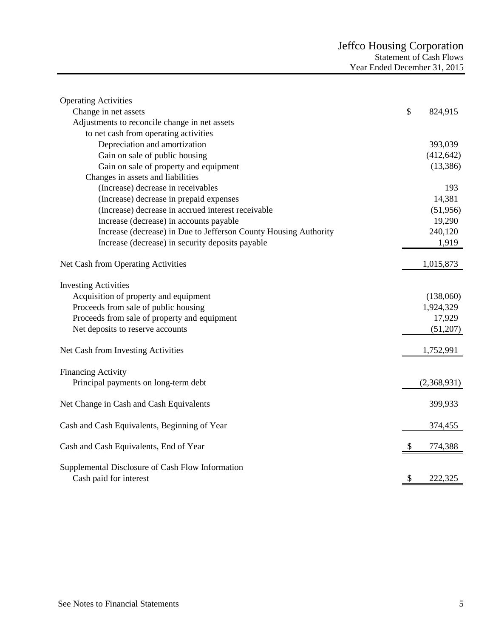| <b>Operating Activities</b>                                                |               |
|----------------------------------------------------------------------------|---------------|
| Change in net assets                                                       | \$<br>824,915 |
| Adjustments to reconcile change in net assets                              |               |
| to net cash from operating activities                                      |               |
| Depreciation and amortization                                              | 393,039       |
| Gain on sale of public housing                                             | (412, 642)    |
| Gain on sale of property and equipment                                     | (13, 386)     |
| Changes in assets and liabilities                                          |               |
| (Increase) decrease in receivables                                         | 193           |
| (Increase) decrease in prepaid expenses                                    | 14,381        |
| (Increase) decrease in accrued interest receivable                         | (51, 956)     |
| Increase (decrease) in accounts payable                                    | 19,290        |
| Increase (decrease) in Due to Jefferson County Housing Authority           | 240,120       |
| Increase (decrease) in security deposits payable                           | 1,919         |
| Net Cash from Operating Activities                                         | 1,015,873     |
| <b>Investing Activities</b>                                                |               |
| Acquisition of property and equipment                                      | (138,060)     |
| Proceeds from sale of public housing                                       | 1,924,329     |
| Proceeds from sale of property and equipment                               | 17,929        |
| Net deposits to reserve accounts                                           | (51,207)      |
| Net Cash from Investing Activities                                         | 1,752,991     |
| <b>Financing Activity</b>                                                  |               |
| Principal payments on long-term debt                                       | (2,368,931)   |
| Net Change in Cash and Cash Equivalents                                    | 399,933       |
| Cash and Cash Equivalents, Beginning of Year                               | 374,455       |
| Cash and Cash Equivalents, End of Year                                     | 774,388       |
| Supplemental Disclosure of Cash Flow Information<br>Cash paid for interest | \$<br>222,325 |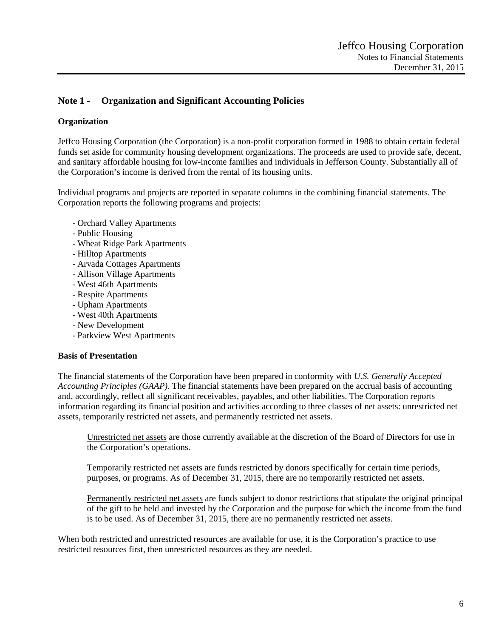# **Note 1 - Organization and Significant Accounting Policies**

## **Organization**

Jeffco Housing Corporation (the Corporation) is a non-profit corporation formed in 1988 to obtain certain federal funds set aside for community housing development organizations. The proceeds are used to provide safe, decent, and sanitary affordable housing for low-income families and individuals in Jefferson County. Substantially all of the Corporation's income is derived from the rental of its housing units.

Individual programs and projects are reported in separate columns in the combining financial statements. The Corporation reports the following programs and projects:

- Orchard Valley Apartments
- Public Housing
- Wheat Ridge Park Apartments
- Hilltop Apartments
- Arvada Cottages Apartments
- Allison Village Apartments
- West 46th Apartments
- Respite Apartments
- Upham Apartments
- West 40th Apartments
- New Development
- Parkview West Apartments

#### **Basis of Presentation**

The financial statements of the Corporation have been prepared in conformity with *U.S. Generally Accepted Accounting Principles (GAAP)*. The financial statements have been prepared on the accrual basis of accounting and, accordingly, reflect all significant receivables, payables, and other liabilities. The Corporation reports information regarding its financial position and activities according to three classes of net assets: unrestricted net assets, temporarily restricted net assets, and permanently restricted net assets.

Unrestricted net assets are those currently available at the discretion of the Board of Directors for use in the Corporation's operations.

Temporarily restricted net assets are funds restricted by donors specifically for certain time periods, purposes, or programs. As of December 31, 2015, there are no temporarily restricted net assets.

Permanently restricted net assets are funds subject to donor restrictions that stipulate the original principal of the gift to be held and invested by the Corporation and the purpose for which the income from the fund is to be used. As of December 31, 2015, there are no permanently restricted net assets.

When both restricted and unrestricted resources are available for use, it is the Corporation's practice to use restricted resources first, then unrestricted resources as they are needed.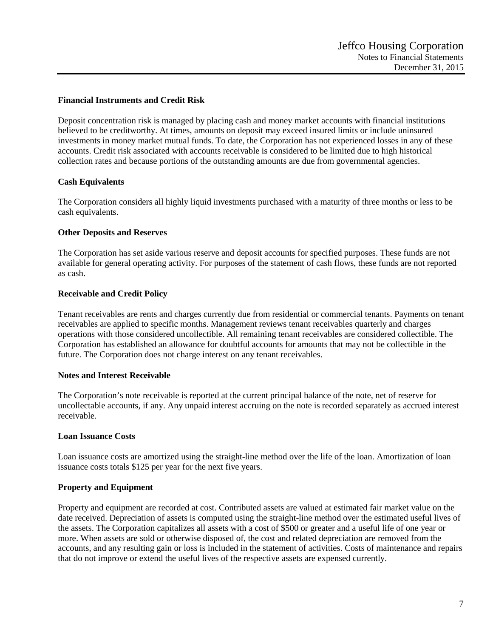## **Financial Instruments and Credit Risk**

Deposit concentration risk is managed by placing cash and money market accounts with financial institutions believed to be creditworthy. At times, amounts on deposit may exceed insured limits or include uninsured investments in money market mutual funds. To date, the Corporation has not experienced losses in any of these accounts. Credit risk associated with accounts receivable is considered to be limited due to high historical collection rates and because portions of the outstanding amounts are due from governmental agencies.

## **Cash Equivalents**

The Corporation considers all highly liquid investments purchased with a maturity of three months or less to be cash equivalents.

## **Other Deposits and Reserves**

The Corporation has set aside various reserve and deposit accounts for specified purposes. These funds are not available for general operating activity. For purposes of the statement of cash flows, these funds are not reported as cash.

### **Receivable and Credit Policy**

Tenant receivables are rents and charges currently due from residential or commercial tenants. Payments on tenant receivables are applied to specific months. Management reviews tenant receivables quarterly and charges operations with those considered uncollectible. All remaining tenant receivables are considered collectible. The Corporation has established an allowance for doubtful accounts for amounts that may not be collectible in the future. The Corporation does not charge interest on any tenant receivables.

### **Notes and Interest Receivable**

The Corporation's note receivable is reported at the current principal balance of the note, net of reserve for uncollectable accounts, if any. Any unpaid interest accruing on the note is recorded separately as accrued interest receivable.

### **Loan Issuance Costs**

Loan issuance costs are amortized using the straight-line method over the life of the loan. Amortization of loan issuance costs totals \$125 per year for the next five years.

## **Property and Equipment**

Property and equipment are recorded at cost. Contributed assets are valued at estimated fair market value on the date received. Depreciation of assets is computed using the straight-line method over the estimated useful lives of the assets. The Corporation capitalizes all assets with a cost of \$500 or greater and a useful life of one year or more. When assets are sold or otherwise disposed of, the cost and related depreciation are removed from the accounts, and any resulting gain or loss is included in the statement of activities. Costs of maintenance and repairs that do not improve or extend the useful lives of the respective assets are expensed currently.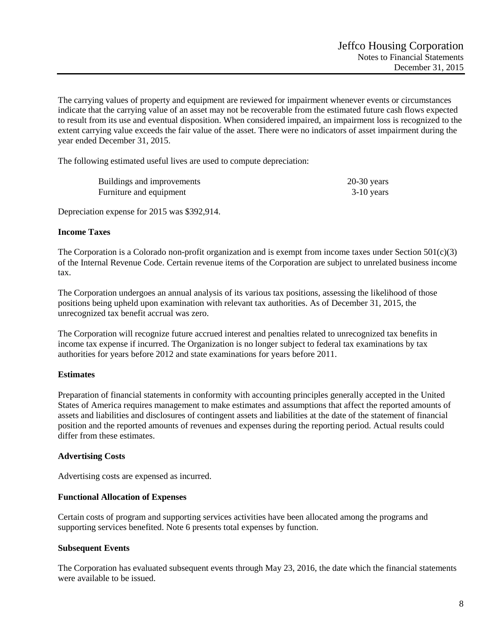The carrying values of property and equipment are reviewed for impairment whenever events or circumstances indicate that the carrying value of an asset may not be recoverable from the estimated future cash flows expected to result from its use and eventual disposition. When considered impaired, an impairment loss is recognized to the extent carrying value exceeds the fair value of the asset. There were no indicators of asset impairment during the year ended December 31, 2015.

The following estimated useful lives are used to compute depreciation:

| Buildings and improvements | $20-30$ years |
|----------------------------|---------------|
| Furniture and equipment    | $3-10$ years  |

Depreciation expense for 2015 was \$392,914.

### **Income Taxes**

The Corporation is a Colorado non-profit organization and is exempt from income taxes under Section  $501(c)(3)$ of the Internal Revenue Code. Certain revenue items of the Corporation are subject to unrelated business income tax.

The Corporation undergoes an annual analysis of its various tax positions, assessing the likelihood of those positions being upheld upon examination with relevant tax authorities. As of December 31, 2015, the unrecognized tax benefit accrual was zero.

The Corporation will recognize future accrued interest and penalties related to unrecognized tax benefits in income tax expense if incurred. The Organization is no longer subject to federal tax examinations by tax authorities for years before 2012 and state examinations for years before 2011.

### **Estimates**

Preparation of financial statements in conformity with accounting principles generally accepted in the United States of America requires management to make estimates and assumptions that affect the reported amounts of assets and liabilities and disclosures of contingent assets and liabilities at the date of the statement of financial position and the reported amounts of revenues and expenses during the reporting period. Actual results could differ from these estimates.

### **Advertising Costs**

Advertising costs are expensed as incurred.

### **Functional Allocation of Expenses**

Certain costs of program and supporting services activities have been allocated among the programs and supporting services benefited. Note 6 presents total expenses by function.

### **Subsequent Events**

The Corporation has evaluated subsequent events through May 23, 2016, the date which the financial statements were available to be issued.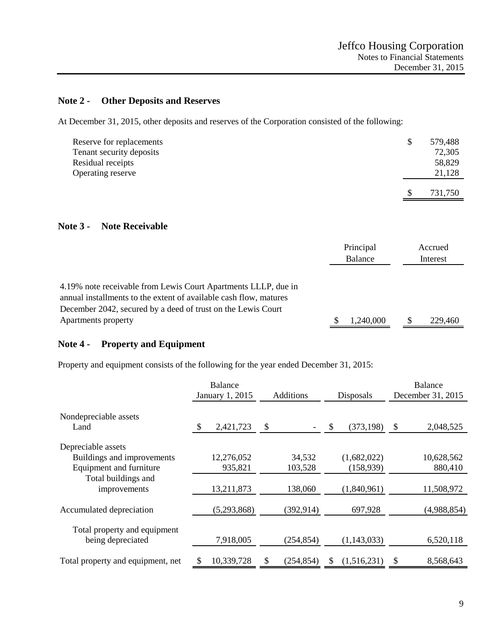# **Note 2 - Other Deposits and Reserves**

At December 31, 2015, other deposits and reserves of the Corporation consisted of the following:

| Reserve for replacements<br>Tenant security deposits | \$<br>579,488<br>72,305 |  |
|------------------------------------------------------|-------------------------|--|
| Residual receipts<br>Operating reserve               | 58,829<br>21,128        |  |
|                                                      | \$<br>731,750           |  |

## **Note 3 - Note Receivable**

|                                                                                                                                                                                                                            | Principal<br>Balance | Accrued<br>Interest |
|----------------------------------------------------------------------------------------------------------------------------------------------------------------------------------------------------------------------------|----------------------|---------------------|
| 4.19% note receivable from Lewis Court Apartments LLLP, due in<br>annual installments to the extent of available cash flow, matures<br>December 2042, secured by a deed of trust on the Lewis Court<br>Apartments property | 1,240,000            | 229,460             |

# **Note 4 - Property and Equipment**

Property and equipment consists of the following for the year ended December 31, 2015:

|                                     | <b>Balance</b><br>January 1, 2015 | Additions        | Disposals        | <b>Balance</b><br>December 31, 2015 |
|-------------------------------------|-----------------------------------|------------------|------------------|-------------------------------------|
| Nondepreciable assets               |                                   |                  |                  |                                     |
| Land                                | 2,421,723<br>\$                   | \$               | \$<br>(373, 198) | $\mathcal{S}$<br>2,048,525          |
| Depreciable assets                  |                                   |                  |                  |                                     |
| Buildings and improvements          | 12,276,052                        | 34,532           | (1,682,022)      | 10,628,562                          |
| Equipment and furniture             | 935,821                           | 103,528          | (158,939)        | 880,410                             |
| Total buildings and<br>improvements | 13,211,873                        | 138,060          | (1,840,961)      | 11,508,972                          |
| Accumulated depreciation            | (5,293,868)                       | (392, 914)       | 697,928          | (4,988,854)                         |
| Total property and equipment        |                                   |                  |                  |                                     |
| being depreciated                   | 7,918,005                         | (254, 854)       | (1,143,033)      | 6,520,118                           |
| Total property and equipment, net   | 10,339,728                        | \$<br>(254, 854) | (1,516,231)<br>S | $\mathcal{S}$<br>8,568,643          |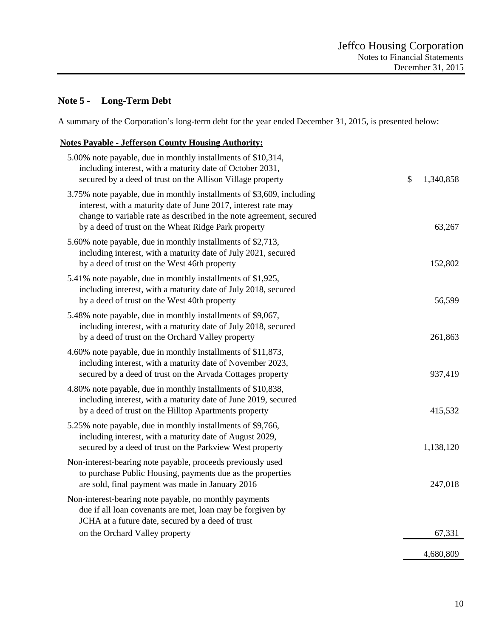# **Note 5 - Long-Term Debt**

A summary of the Corporation's long-term debt for the year ended December 31, 2015, is presented below:

# **Notes Payable - Jefferson County Housing Authority:**

| 5.00% note payable, due in monthly installments of \$10,314,<br>including interest, with a maturity date of October 2031,<br>secured by a deed of trust on the Allison Village property                                                                               | \$<br>1,340,858 |
|-----------------------------------------------------------------------------------------------------------------------------------------------------------------------------------------------------------------------------------------------------------------------|-----------------|
| 3.75% note payable, due in monthly installments of \$3,609, including<br>interest, with a maturity date of June 2017, interest rate may<br>change to variable rate as described in the note agreement, secured<br>by a deed of trust on the Wheat Ridge Park property | 63,267          |
| 5.60% note payable, due in monthly installments of \$2,713,<br>including interest, with a maturity date of July 2021, secured<br>by a deed of trust on the West 46th property                                                                                         | 152,802         |
| 5.41% note payable, due in monthly installments of \$1,925,<br>including interest, with a maturity date of July 2018, secured<br>by a deed of trust on the West 40th property                                                                                         | 56,599          |
| 5.48% note payable, due in monthly installments of \$9,067,<br>including interest, with a maturity date of July 2018, secured<br>by a deed of trust on the Orchard Valley property                                                                                    | 261,863         |
| 4.60% note payable, due in monthly installments of \$11,873,<br>including interest, with a maturity date of November 2023,<br>secured by a deed of trust on the Arvada Cottages property                                                                              | 937,419         |
| 4.80% note payable, due in monthly installments of \$10,838,<br>including interest, with a maturity date of June 2019, secured<br>by a deed of trust on the Hilltop Apartments property                                                                               | 415,532         |
| 5.25% note payable, due in monthly installments of \$9,766,<br>including interest, with a maturity date of August 2029,<br>secured by a deed of trust on the Parkview West property                                                                                   | 1,138,120       |
| Non-interest-bearing note payable, proceeds previously used<br>to purchase Public Housing, payments due as the properties<br>are sold, final payment was made in January 2016                                                                                         | 247,018         |
| Non-interest-bearing note payable, no monthly payments<br>due if all loan covenants are met, loan may be forgiven by<br>JCHA at a future date, secured by a deed of trust                                                                                             |                 |
| on the Orchard Valley property                                                                                                                                                                                                                                        | 67,331          |
|                                                                                                                                                                                                                                                                       | 4,680,809       |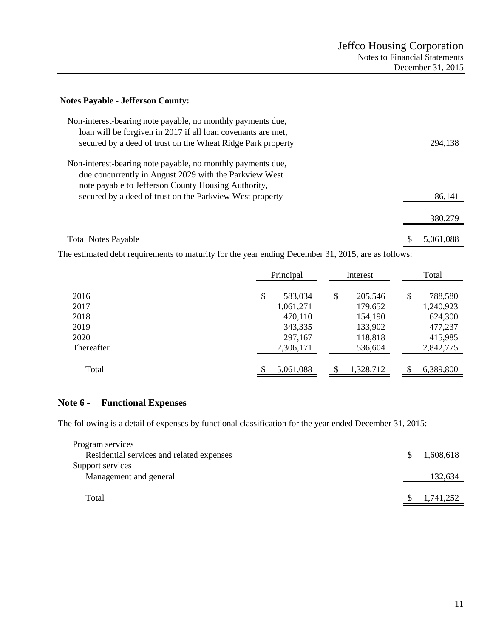#### **Notes Payable - Jefferson County:**

| Non-interest-bearing note payable, no monthly payments due,<br>loan will be forgiven in 2017 if all loan covenants are met,<br>secured by a deed of trust on the Wheat Ridge Park property | 294,138   |
|--------------------------------------------------------------------------------------------------------------------------------------------------------------------------------------------|-----------|
| Non-interest-bearing note payable, no monthly payments due,<br>due concurrently in August 2029 with the Parkview West<br>note payable to Jefferson County Housing Authority,               |           |
| secured by a deed of trust on the Parkview West property                                                                                                                                   | 86,141    |
|                                                                                                                                                                                            | 380,279   |
| <b>Total Notes Payable</b>                                                                                                                                                                 | 5.061.088 |

The estimated debt requirements to maturity for the year ending December 31, 2015, are as follows:

|            | Principal       | Interest        | Total           |
|------------|-----------------|-----------------|-----------------|
| 2016       | \$<br>583,034   | \$<br>205,546   | \$<br>788,580   |
| 2017       | 1,061,271       | 179,652         | 1,240,923       |
| 2018       | 470,110         | 154,190         | 624,300         |
| 2019       | 343,335         | 133,902         | 477,237         |
| 2020       | 297,167         | 118,818         | 415,985         |
| Thereafter | 2,306,171       | 536,604         | 2,842,775       |
| Total      | \$<br>5,061,088 | \$<br>1,328,712 | \$<br>6,389,800 |

# **Note 6 - Functional Expenses**

The following is a detail of expenses by functional classification for the year ended December 31, 2015:

| \$. | 1,608,618 |
|-----|-----------|
|     |           |
|     | 132,634   |
|     |           |
|     | 1,741,252 |
|     |           |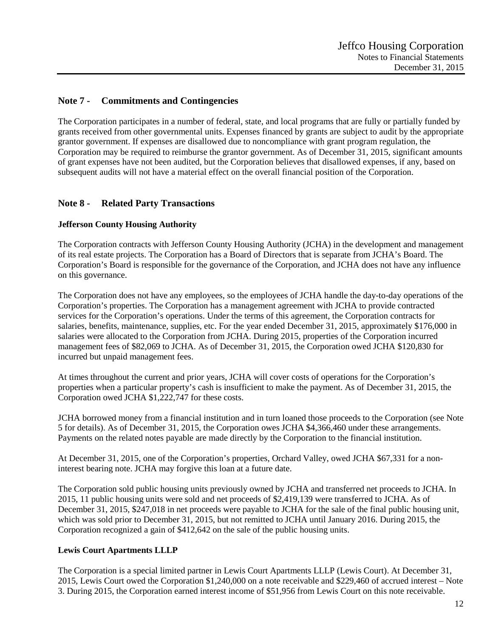# **Note 7 - Commitments and Contingencies**

The Corporation participates in a number of federal, state, and local programs that are fully or partially funded by grants received from other governmental units. Expenses financed by grants are subject to audit by the appropriate grantor government. If expenses are disallowed due to noncompliance with grant program regulation, the Corporation may be required to reimburse the grantor government. As of December 31, 2015, significant amounts of grant expenses have not been audited, but the Corporation believes that disallowed expenses, if any, based on subsequent audits will not have a material effect on the overall financial position of the Corporation.

# **Note 8 - Related Party Transactions**

## **Jefferson County Housing Authority**

The Corporation contracts with Jefferson County Housing Authority (JCHA) in the development and management of its real estate projects. The Corporation has a Board of Directors that is separate from JCHA's Board. The Corporation's Board is responsible for the governance of the Corporation, and JCHA does not have any influence on this governance.

The Corporation does not have any employees, so the employees of JCHA handle the day-to-day operations of the Corporation's properties. The Corporation has a management agreement with JCHA to provide contracted services for the Corporation's operations. Under the terms of this agreement, the Corporation contracts for salaries, benefits, maintenance, supplies, etc. For the year ended December 31, 2015, approximately \$176,000 in salaries were allocated to the Corporation from JCHA. During 2015, properties of the Corporation incurred management fees of \$82,069 to JCHA. As of December 31, 2015, the Corporation owed JCHA \$120,830 for incurred but unpaid management fees.

At times throughout the current and prior years, JCHA will cover costs of operations for the Corporation's properties when a particular property's cash is insufficient to make the payment. As of December 31, 2015, the Corporation owed JCHA \$1,222,747 for these costs.

JCHA borrowed money from a financial institution and in turn loaned those proceeds to the Corporation (see Note 5 for details). As of December 31, 2015, the Corporation owes JCHA \$4,366,460 under these arrangements. Payments on the related notes payable are made directly by the Corporation to the financial institution.

At December 31, 2015, one of the Corporation's properties, Orchard Valley, owed JCHA \$67,331 for a noninterest bearing note. JCHA may forgive this loan at a future date.

The Corporation sold public housing units previously owned by JCHA and transferred net proceeds to JCHA. In 2015, 11 public housing units were sold and net proceeds of \$2,419,139 were transferred to JCHA. As of December 31, 2015, \$247,018 in net proceeds were payable to JCHA for the sale of the final public housing unit, which was sold prior to December 31, 2015, but not remitted to JCHA until January 2016. During 2015, the Corporation recognized a gain of \$412,642 on the sale of the public housing units.

### **Lewis Court Apartments LLLP**

The Corporation is a special limited partner in Lewis Court Apartments LLLP (Lewis Court). At December 31, 2015, Lewis Court owed the Corporation \$1,240,000 on a note receivable and \$229,460 of accrued interest – Note 3. During 2015, the Corporation earned interest income of \$51,956 from Lewis Court on this note receivable.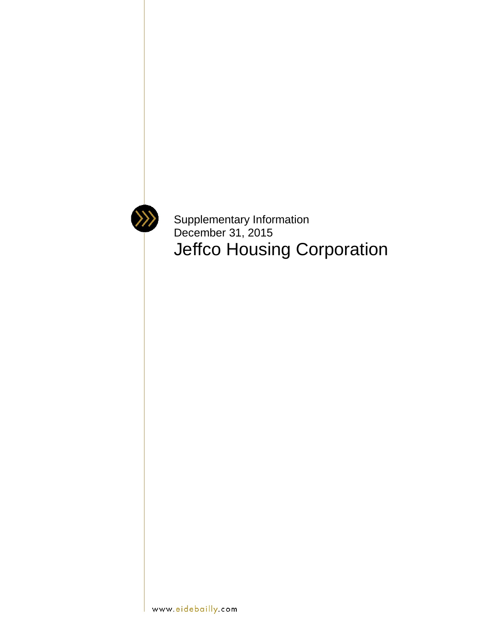

Supplementary Information December 31, 2015 Jeffco Housing Corporation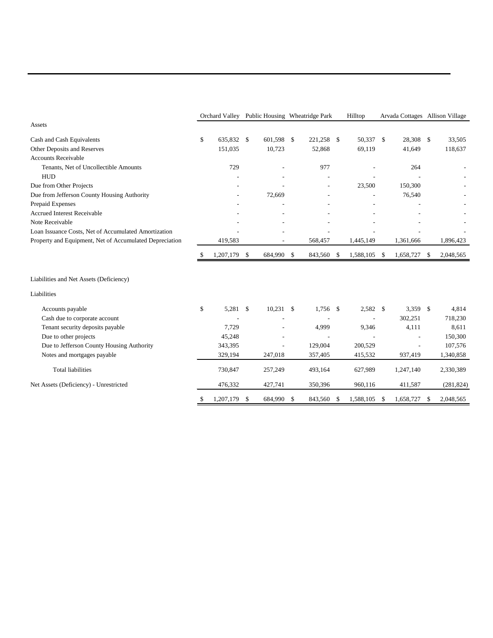|                                                         |    |              | Orchard Valley Public Housing Wheatridge Park |                |               |            |               | Hilltop      |    |                | Arvada Cottages Allison Village |            |
|---------------------------------------------------------|----|--------------|-----------------------------------------------|----------------|---------------|------------|---------------|--------------|----|----------------|---------------------------------|------------|
| Assets                                                  |    |              |                                               |                |               |            |               |              |    |                |                                 |            |
| Cash and Cash Equivalents                               | \$ | 635,832 \$   |                                               | 601.598 \$     |               | 221,258    | <sup>\$</sup> | 50,337 \$    |    | 28,308 \$      |                                 | 33,505     |
| Other Deposits and Reserves                             |    | 151,035      |                                               | 10,723         |               | 52,868     |               | 69,119       |    | 41,649         |                                 | 118,637    |
| <b>Accounts Receivable</b>                              |    |              |                                               |                |               |            |               |              |    |                |                                 |            |
| Tenants, Net of Uncollectible Amounts                   |    | 729          |                                               |                |               | 977        |               |              |    | 264            |                                 |            |
| <b>HUD</b>                                              |    |              |                                               |                |               |            |               |              |    |                |                                 |            |
| Due from Other Projects                                 |    |              |                                               |                |               |            |               | 23,500       |    | 150,300        |                                 |            |
| Due from Jefferson County Housing Authority             |    |              |                                               | 72,669         |               |            |               |              |    | 76,540         |                                 |            |
| Prepaid Expenses                                        |    |              |                                               |                |               |            |               |              |    |                |                                 |            |
| <b>Accrued Interest Receivable</b>                      |    |              |                                               |                |               |            |               |              |    |                |                                 |            |
| Note Receivable                                         |    |              |                                               |                |               |            |               |              |    |                |                                 |            |
| Loan Issuance Costs, Net of Accumulated Amortization    |    |              |                                               |                |               |            |               |              |    |                |                                 |            |
| Property and Equipment, Net of Accumulated Depreciation |    | 419,583      |                                               | $\overline{a}$ |               | 568,457    |               | 1,445,149    |    | 1,361,666      |                                 | 1,896,423  |
|                                                         | \$ | 1,207,179 \$ |                                               | 684,990 \$     |               | 843,560 \$ |               | 1,588,105 \$ |    | 1,658,727      | - \$                            | 2,048,565  |
| Liabilities and Net Assets (Deficiency)                 |    |              |                                               |                |               |            |               |              |    |                |                                 |            |
| Liabilities                                             |    |              |                                               |                |               |            |               |              |    |                |                                 |            |
| Accounts payable                                        | \$ | 5,281 \$     |                                               | $10,231$ \$    |               | 1,756      | \$            | 2,582 \$     |    | 3,359 \$       |                                 | 4,814      |
| Cash due to corporate account                           |    |              |                                               |                |               |            |               |              |    | 302,251        |                                 | 718,230    |
| Tenant security deposits payable                        |    | 7,729        |                                               |                |               | 4,999      |               | 9,346        |    | 4,111          |                                 | 8,611      |
| Due to other projects                                   |    | 45,248       |                                               | $\overline{a}$ |               |            |               |              |    |                |                                 | 150,300    |
| Due to Jefferson County Housing Authority               |    | 343,395      |                                               | ÷,             |               | 129,004    |               | 200,529      |    | $\overline{a}$ |                                 | 107,576    |
| Notes and mortgages payable                             |    | 329,194      |                                               | 247,018        |               | 357,405    |               | 415,532      |    | 937,419        |                                 | 1,340,858  |
| <b>Total liabilities</b>                                |    | 730,847      |                                               | 257,249        |               | 493,164    |               | 627,989      |    | 1,247,140      |                                 | 2,330,389  |
| Net Assets (Deficiency) - Unrestricted                  |    | 476,332      |                                               | 427,741        |               | 350,396    |               | 960,116      |    | 411,587        |                                 | (281, 824) |
|                                                         | \$ | 1,207,179    | \$                                            | 684.990        | <sup>\$</sup> | 843.560    | \$            | 1.588.105    | -S | 1,658,727      | S                               | 2,048,565  |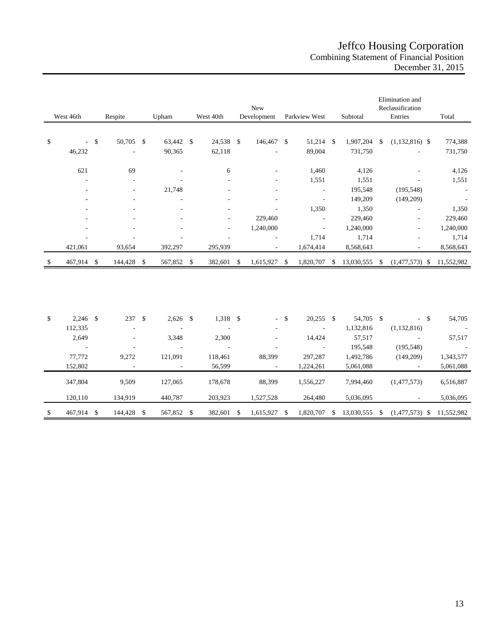# Jeffco Housing Corporation Combining Statement of Financial Position December 31, 2015

| West 46th<br>Respite<br>Upham |            |        |                          |    |                          | West 40th     | New<br>Development |    | Parkview West            |               | Subtotal                 |     | Elimination and<br>Reclassification<br>Entries | Total         |                  |            |
|-------------------------------|------------|--------|--------------------------|----|--------------------------|---------------|--------------------|----|--------------------------|---------------|--------------------------|-----|------------------------------------------------|---------------|------------------|------------|
|                               |            |        |                          |    |                          |               |                    |    |                          |               |                          |     |                                                |               |                  |            |
| \$                            |            | $-$ \$ | 50,705 \$                |    | 63,442 \$                |               | 24,538 \$          |    | 146,467 \$               |               | 51,214 \$                |     | 1,907,204                                      | $\mathbb{S}$  | $(1,132,816)$ \$ | 774,388    |
|                               | 46,232     |        |                          |    | 90,365                   |               | 62,118             |    |                          |               | 89,004                   |     | 731,750                                        |               |                  | 731,750    |
|                               | 621        |        | 69                       |    |                          |               | 6                  |    |                          |               | 1,460                    |     | 4,126                                          |               |                  | 4,126      |
|                               |            |        |                          |    |                          |               |                    |    |                          |               | 1,551                    |     | 1,551                                          |               |                  | 1,551      |
|                               |            |        |                          |    | 21,748                   |               |                    |    |                          |               | ÷,                       |     | 195,548                                        |               | (195, 548)       |            |
|                               |            |        |                          |    |                          |               |                    |    |                          |               | $\overline{\phantom{a}}$ |     | 149,209                                        |               | (149,209)        |            |
|                               |            |        |                          |    |                          |               |                    |    |                          |               | 1,350                    |     | 1,350                                          |               |                  | 1,350      |
|                               |            |        |                          |    |                          |               |                    |    | 229,460                  |               |                          |     | 229,460                                        |               |                  | 229,460    |
|                               |            |        |                          |    |                          |               |                    |    | 1,240,000                |               | $\overline{\phantom{a}}$ |     | 1,240,000                                      |               | ٠                | 1,240,000  |
|                               |            |        |                          |    |                          |               |                    |    |                          |               | 1,714                    |     | 1,714                                          |               |                  | 1,714      |
|                               | 421,061    |        | 93,654                   |    | 392,297                  |               | 295,939            |    | $\overline{\phantom{a}}$ |               | 1,674,414                |     | 8,568,643                                      |               |                  | 8,568,643  |
| \$                            | 467,914 \$ |        | 144,428 \$               |    | 567,852 \$               |               | 382,601            | \$ | 1,615,927 \$             |               | 1,820,707                | -\$ | 13,030,555                                     | - \$          | $(1,477,573)$ \$ | 11,552,982 |
|                               |            |        |                          |    |                          |               |                    |    |                          |               |                          |     |                                                |               |                  |            |
| \$                            | $2,246$ \$ |        | 237                      | \$ | $2,626$ \$               |               | 1,318 \$           |    | $\sim 100$               | $\mathcal{S}$ | $20,255$ \$              |     | 54,705 \$                                      |               | $-$ \$           | 54,705     |
|                               | 112,335    |        |                          |    | $\overline{\phantom{a}}$ |               | J.                 |    |                          |               | $\overline{\phantom{a}}$ |     | 1,132,816                                      |               | (1, 132, 816)    |            |
|                               | 2,649      |        |                          |    | 3,348                    |               | 2,300              |    |                          |               | 14,424                   |     | 57,517                                         |               |                  | 57,517     |
|                               |            |        |                          |    |                          |               |                    |    |                          |               | $\sim$                   |     | 195,548                                        |               | (195, 548)       |            |
|                               | 77,772     |        | 9,272                    |    | 121,091                  |               | 118,461            |    | 88,399                   |               | 297,287                  |     | 1,492,786                                      |               | (149,209)        | 1,343,577  |
|                               | 152,802    |        | $\overline{\phantom{a}}$ |    | $\overline{\phantom{a}}$ |               | 56,599             |    | $\overline{\phantom{a}}$ |               | 1,224,261                |     | 5,061,088                                      |               | $\sim$           | 5,061,088  |
|                               | 347,804    |        | 9,509                    |    | 127,065                  |               | 178,678            |    | 88,399                   |               | 1,556,227                |     | 7,994,460                                      |               | (1,477,573)      | 6,516,887  |
|                               | 120,110    |        | 134,919                  |    | 440,787                  |               | 203,923            |    | 1,527,528                |               | 264,480                  |     | 5,036,095                                      |               |                  | 5,036,095  |
| \$                            | 467,914 \$ |        | 144,428                  | \$ | 567,852                  | $\mathcal{S}$ | 382,601            | \$ | 1,615,927                | \$            | 1,820,707                | \$  | 13,030,555                                     | $\mathcal{S}$ | $(1,477,573)$ \$ | 11,552,982 |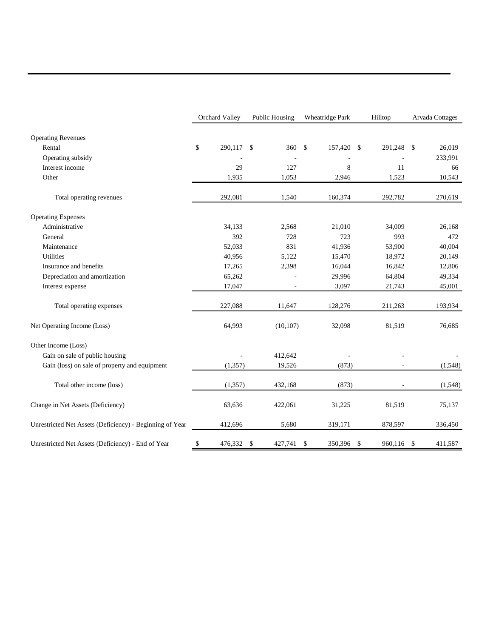|                                                          | Orchard Valley | <b>Public Housing</b>    | Wheatridge Park     |               | Hilltop    |     | Arvada Cottages |
|----------------------------------------------------------|----------------|--------------------------|---------------------|---------------|------------|-----|-----------------|
| <b>Operating Revenues</b>                                |                |                          |                     |               |            |     |                 |
| Rental                                                   | \$<br>290,117  | 360<br>$\mathcal{S}$     | <b>S</b><br>157,420 | $\mathcal{S}$ | 291,248    | -\$ | 26,019          |
| Operating subsidy                                        |                |                          |                     |               |            |     | 233,991         |
| Interest income                                          | 29             | 127                      | 8                   |               | 11         |     | 66              |
| Other                                                    | 1,935          | 1,053                    | 2,946               |               | 1,523      |     | 10,543          |
| Total operating revenues                                 | 292,081        | 1,540                    | 160,374             |               | 292,782    |     | 270,619         |
| <b>Operating Expenses</b>                                |                |                          |                     |               |            |     |                 |
| Administrative                                           | 34,133         | 2,568                    | 21,010              |               | 34,009     |     | 26,168          |
| General                                                  | 392            | 728                      | 723                 |               | 993        |     | 472             |
| Maintenance                                              | 52,033         | 831                      | 41,936              |               | 53,900     |     | 40,004          |
| <b>Utilities</b>                                         | 40,956         | 5,122                    | 15,470              |               | 18,972     |     | 20,149          |
| Insurance and benefits                                   | 17,265         | 2,398                    | 16,044              |               | 16,842     |     | 12,806          |
| Depreciation and amortization                            | 65,262         |                          | 29,996              |               | 64,804     |     | 49,334          |
| Interest expense                                         | 17,047         |                          | 3,097               |               | 21,743     |     | 45,001          |
| Total operating expenses                                 | 227,088        | 11,647                   | 128,276             |               | 211,263    |     | 193,934         |
| Net Operating Income (Loss)                              | 64,993         | (10, 107)                | 32,098              |               | 81,519     |     | 76,685          |
| Other Income (Loss)                                      |                |                          |                     |               |            |     |                 |
| Gain on sale of public housing                           |                | 412,642                  |                     |               |            |     |                 |
| Gain (loss) on sale of property and equipment            | (1, 357)       | 19,526                   | (873)               |               |            |     | (1,548)         |
| Total other income (loss)                                | (1, 357)       | 432,168                  | (873)               |               |            |     | (1,548)         |
| Change in Net Assets (Deficiency)                        | 63,636         | 422,061                  | 31,225              |               | 81,519     |     | 75,137          |
| Unrestricted Net Assets (Deficiency) - Beginning of Year | 412,696        | 5,680                    | 319,171             |               | 878,597    |     | 336,450         |
| Unrestricted Net Assets (Deficiency) - End of Year       | \$<br>476,332  | $\mathcal{S}$<br>427,741 | \$<br>350,396       | \$            | 960,116 \$ |     | 411,587         |